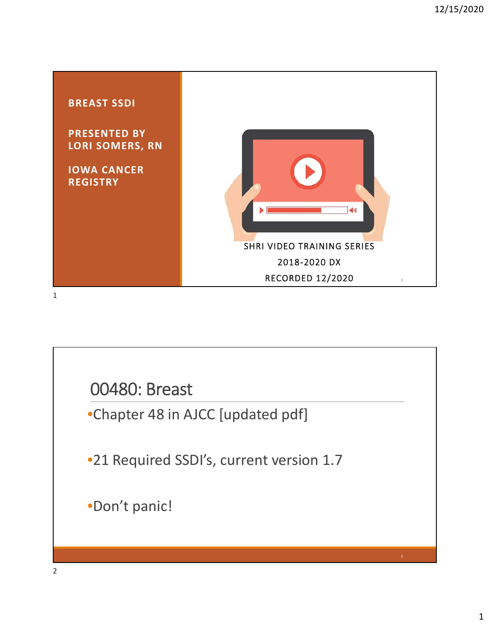

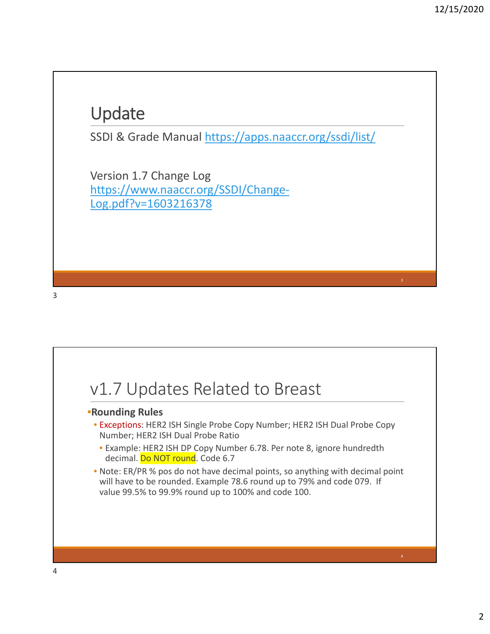### Update

SSDI & Grade Manual https://apps.naaccr.org/ssdi/list/

Version 1.7 Change Log https://www.naaccr.org/SSDI/Change‐ Log.pdf?v=1603216378

### v1.7 Updates Related to Breast

#### •**Rounding Rules**

- Exceptions: HER2 ISH Single Probe Copy Number; HER2 ISH Dual Probe Copy Number; HER2 ISH Dual Probe Ratio
	- Example: HER2 ISH DP Copy Number 6.78. Per note 8, ignore hundredth decimal. Do NOT round. Code 6.7
- Note: ER/PR % pos do not have decimal points, so anything with decimal point will have to be rounded. Example 78.6 round up to 79% and code 079. If value 99.5% to 99.9% round up to 100% and code 100.

3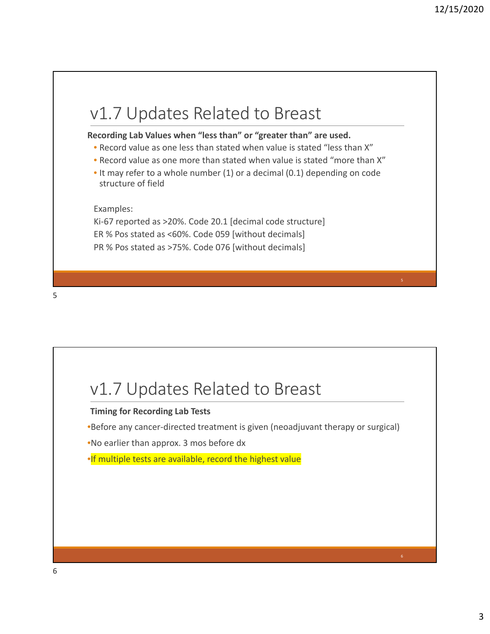### v1.7 Updates Related to Breast

#### **Recording Lab Values when "less than" or "greater than" are used.**

- Record value as one less than stated when value is stated "less than X"
- Record value as one more than stated when value is stated "more than X"
- It may refer to a whole number (1) or a decimal (0.1) depending on code structure of field

Examples:

Ki-67 reported as >20%. Code 20.1 [decimal code structure] ER % Pos stated as <60%. Code 059 [without decimals] PR % Pos stated as >75%. Code 076 [without decimals]

5

### v1.7 Updates Related to Breast

#### **Timing for Recording Lab Tests**

•Before any cancer‐directed treatment is given (neoadjuvant therapy or surgical)

•No earlier than approx. 3 mos before dx

•If multiple tests are available, record the highest value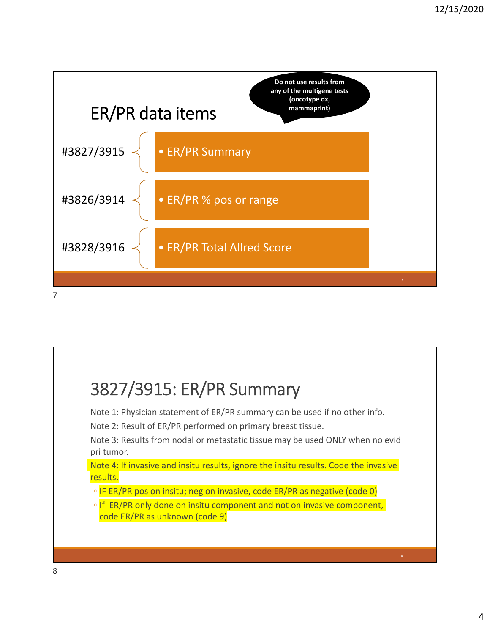

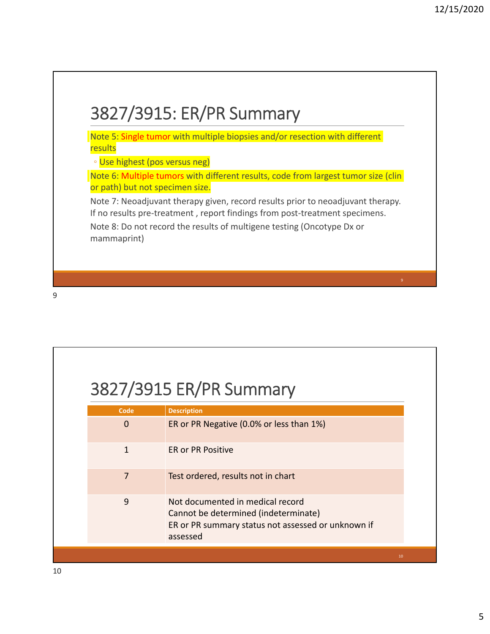

### 3827/3915 ER/PR Summary

| Code         | <b>Description</b>                                                                                                                         |    |
|--------------|--------------------------------------------------------------------------------------------------------------------------------------------|----|
| 0            | ER or PR Negative (0.0% or less than 1%)                                                                                                   |    |
| $\mathbf{1}$ | <b>ER or PR Positive</b>                                                                                                                   |    |
| 7            | Test ordered, results not in chart                                                                                                         |    |
| 9            | Not documented in medical record<br>Cannot be determined (indeterminate)<br>ER or PR summary status not assessed or unknown if<br>assessed |    |
|              |                                                                                                                                            | 10 |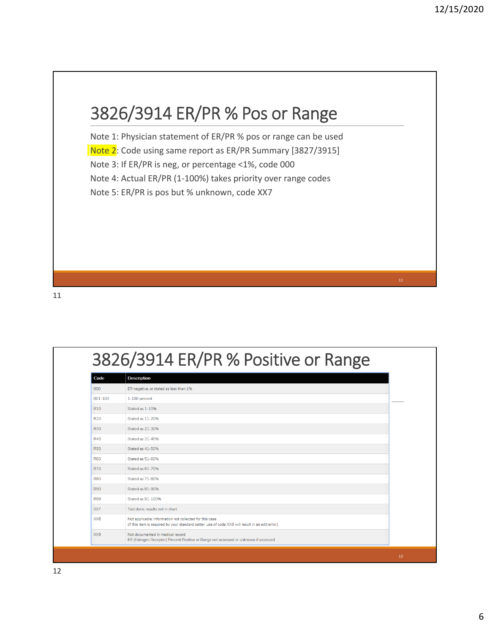### 3826/3914 ER/PR % Pos or Range

Note 1: Physician statement of ER/PR % pos or range can be used Note 2: Code using same report as ER/PR Summary [3827/3915] Note 3: If ER/PR is neg, or percentage <1%, code 000 Note 4: Actual ER/PR (1‐100%) takes priority over range codes Note 5: ER/PR is pos but % unknown, code XX7

| Code            | <b>Description</b>                                                                                                                                           |
|-----------------|--------------------------------------------------------------------------------------------------------------------------------------------------------------|
| 000             | ER negative, or stated as less than 1%                                                                                                                       |
| $001 - 100$     | 1-100 percent                                                                                                                                                |
| R <sub>10</sub> | Stated as 1-10%                                                                                                                                              |
| <b>R20</b>      | Stated as 11-20%                                                                                                                                             |
| <b>R30</b>      | Stated as 21-30%                                                                                                                                             |
| <b>R40</b>      | Stated as 31-40%                                                                                                                                             |
| <b>R50</b>      | Stated as 41-50%                                                                                                                                             |
| <b>R60</b>      | Stated as 51-60%                                                                                                                                             |
| <b>R70</b>      | Stated as 61-70%                                                                                                                                             |
| <b>R80</b>      | Stated as 71-80%                                                                                                                                             |
| <b>R90</b>      | Stated as 81-90%                                                                                                                                             |
| <b>R99</b>      | Stated as 91-100%                                                                                                                                            |
| XX7             | Test done, results not in chart                                                                                                                              |
| XX8             | Not applicable: Information not collected for this case<br>(If this item is required by your standard setter, use of code XX8 will result in an edit error.) |
| XX9             | Not documented in medical record<br>ER (Estrogen Receptor) Percent Positive or Range not assessed or unknown if assessed                                     |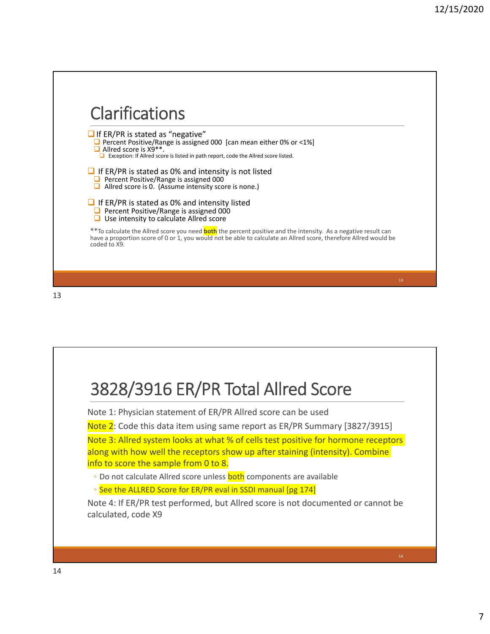

# 3828/3916 ER/PR Total Allred Score

Note 1: Physician statement of ER/PR Allred score can be used

Note 2: Code this data item using same report as ER/PR Summary [3827/3915]

Note 3: Allred system looks at what % of cells test positive for hormone receptors along with how well the receptors show up after staining (intensity). Combine info to score the sample from 0 to 8.

◦ Do not calculate Allred score unless **both** components are available

◦ See the ALLRED Score for ER/PR eval in SSDI manual [pg 174]

Note 4: If ER/PR test performed, but Allred score is not documented or cannot be calculated, code X9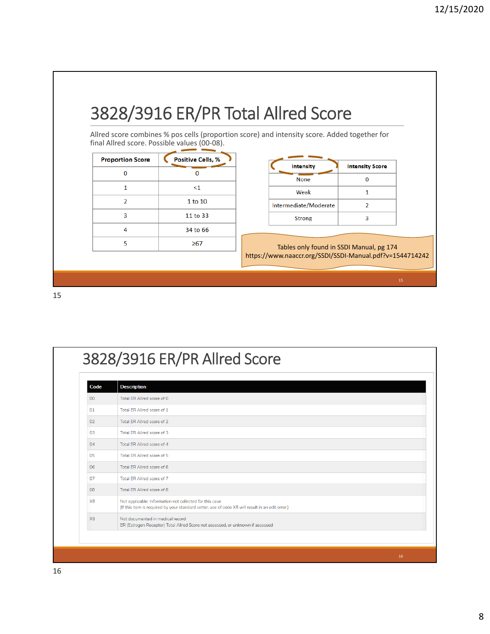### 3828/3916 ER/PR Total Allred Score

Allred score combines % pos cells (proportion score) and intensity score. Added together for final Allred score. Possible values (00‐08).

| <b>Positive Cells, %</b> |
|--------------------------|
| n                        |
| $<$ 1                    |
| 1 to 10                  |
| 11 to 33                 |
| 34 to 66                 |
| $\geq 67$                |
|                          |

| <b>Intensity</b>      | <b>Intensity Score</b> |
|-----------------------|------------------------|
| <b>None</b>           |                        |
| Weak                  |                        |
| Intermediate/Moderate |                        |
| <b>Strong</b>         |                        |

Tables only found in SSDI Manual, pg 174 https://www.naaccr.org/SSDI/SSDI‐Manual.pdf?v=1544714242

| Code            | <b>Description</b>                                                                                                                                          |
|-----------------|-------------------------------------------------------------------------------------------------------------------------------------------------------------|
| 00 <sup>1</sup> | Total ER Allred score of 0                                                                                                                                  |
| 01              | Total ER Allred score of 1                                                                                                                                  |
| 02              | Total ER Allred score of 2                                                                                                                                  |
| 0 <sup>3</sup>  | Total FR Allred score of 3                                                                                                                                  |
| 04              | Total ER Allred score of 4                                                                                                                                  |
| 05              | Total ER Allred score of 5                                                                                                                                  |
| 06              | Total ER Allred score of 6                                                                                                                                  |
| 07              | Total ER Allred score of 7                                                                                                                                  |
| 08              | Total ER Allred score of 8                                                                                                                                  |
| X <sub>8</sub>  | Not applicable: Information not collected for this case<br>(If this item is required by your standard setter, use of code X8 will result in an edit error.) |
| X <sub>9</sub>  | Not documented in medical record<br>ER (Estrogen Receptor) Total Allred Score not assessed, or unknown if assessed                                          |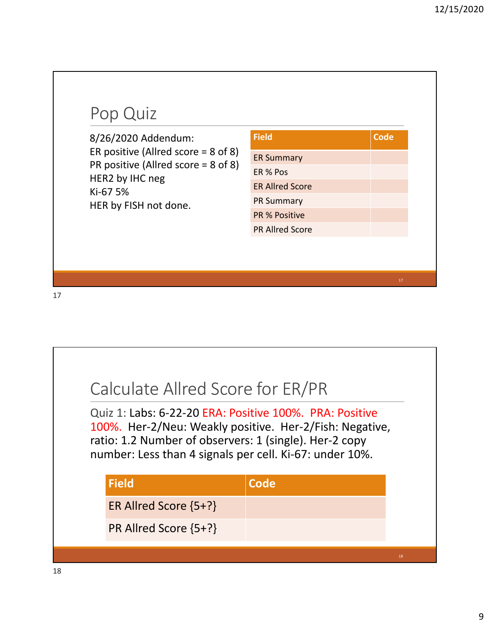### Pop Quiz

8/26/2020 Addendum: ER positive (Allred score = 8 of 8) PR positive (Allred score = 8 of 8) HER2 by IHC neg Ki‐67 5% HER by FISH not done.

| <b>Field</b>           | <b>Code</b> |
|------------------------|-------------|
| <b>ER Summary</b>      |             |
| ER % Pos               |             |
| <b>ER Allred Score</b> |             |
| <b>PR Summary</b>      |             |
| <b>PR % Positive</b>   |             |
| <b>PR Allred Score</b> |             |

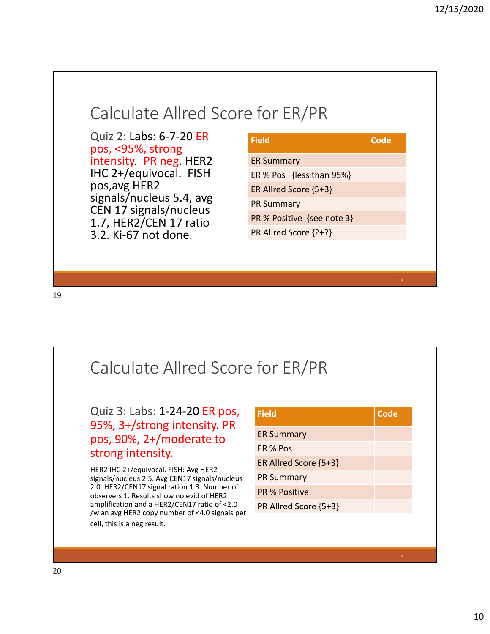

### Calculate Allred Score for ER/PR

Quiz 3: Labs: 1‐24‐20 ER pos, 95%, 3+/strong intensity. PR pos, 90%, 2+/moderate to strong intensity.

HER2 IHC 2+/equivocal. FISH: Avg HER2 signals/nucleus 2.5. Avg CEN17 signals/nucleus 2.0. HER2/CEN17 signal ration 1.3. Number of observers 1. Results show no evid of HER2 amplification and a HER2/CEN17 ratio of <2.0 /w an avg HER2 copy number of <4.0 signals per cell, this is a neg result.

| <b>Field</b>          | Code |
|-----------------------|------|
| <b>ER Summary</b>     |      |
| ER % Pos              |      |
| ER Allred Score {5+3} |      |
| <b>PR Summary</b>     |      |
| <b>PR % Positive</b>  |      |
| PR Allred Score {5+3} |      |
|                       |      |
|                       |      |
|                       |      |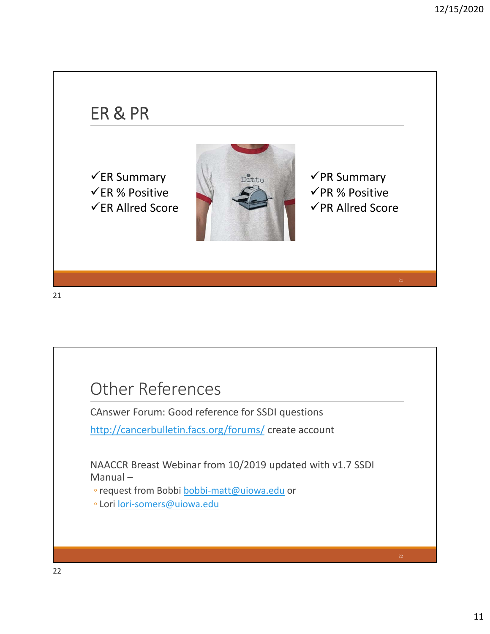### ER & PR

 $\checkmark$ ER Summary  $\checkmark$ ER % Positive  $\checkmark$ ER Allred Score



 $\checkmark$ PR Summary  $\checkmark$ PR % Positive  $\checkmark$ PR Allred Score

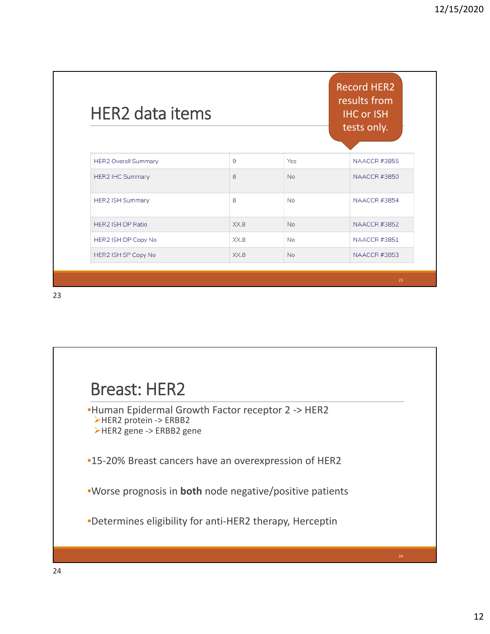| <b>HER2</b> data items      |      |           | results from<br><b>IHC or ISH</b><br>tests only. |
|-----------------------------|------|-----------|--------------------------------------------------|
| <b>HER2 Overall Summary</b> | 9    | Yes       | <b>NAACCR #3855</b>                              |
| <b>HER2 IHC Summary</b>     | 8    | <b>No</b> | <b>NAACCR#3850</b>                               |
| <b>HER2 ISH Summary</b>     | 8    | <b>No</b> | <b>NAACCR #3854</b>                              |
| <b>HER2 ISH DP Ratio</b>    | XX.8 | <b>No</b> | <b>NAACCR #3852</b>                              |
| HER2 ISH DP Copy No         | XX.8 | <b>No</b> | <b>NAACCR #3851</b>                              |
| HER2 ISH SP Copy No         | XX.8 | <b>No</b> | <b>NAACCR #3853</b>                              |

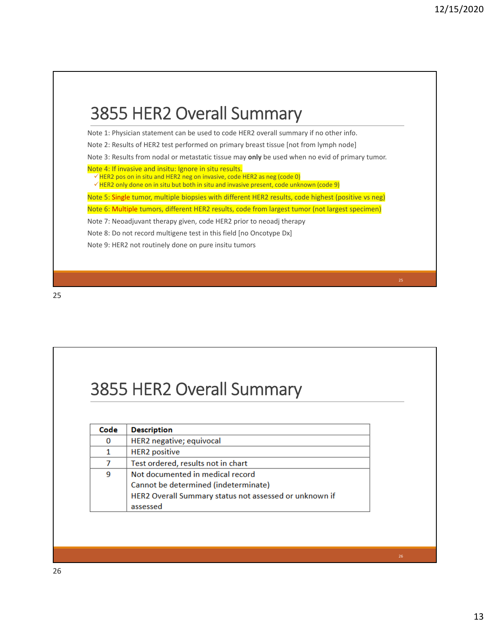### 3855 HER2 Overall Summary Note 1: Physician statement can be used to code HER2 overall summary if no other info. Note 2: Results of HER2 test performed on primary breast tissue [not from lymph node] Note 3: Results from nodal or metastatic tissue may **only** be used when no evid of primary tumor. Note 4: If invasive and insitu: Ignore in situ results.  $\sqrt{HER2}$  pos on in situ and HER2 neg on invasive, code HER2 as neg (code 0)  $\sqrt{HER2}$  only done on in situ but both in situ and invasive present, code unknown (code 9) Note 5: Single tumor, multiple biopsies with different HER2 results, code highest (positive vs neg) Note 6: Multiple tumors, different HER2 results, code from largest tumor (not largest specimen) Note 7: Neoadjuvant therapy given, code HER2 prior to neoadj therapy Note 8: Do not record multigene test in this field [no Oncotype Dx] Note 9: HER2 not routinely done on pure insitu tumors

25

### 3855 HER2 Overall Summary

| Code | <b>Description</b>                                     |
|------|--------------------------------------------------------|
| 0    | HER2 negative; equivocal                               |
| 1    | <b>HER2</b> positive                                   |
|      | Test ordered, results not in chart                     |
| 9    | Not documented in medical record                       |
|      | Cannot be determined (indeterminate)                   |
|      | HER2 Overall Summary status not assessed or unknown if |
|      | assessed                                               |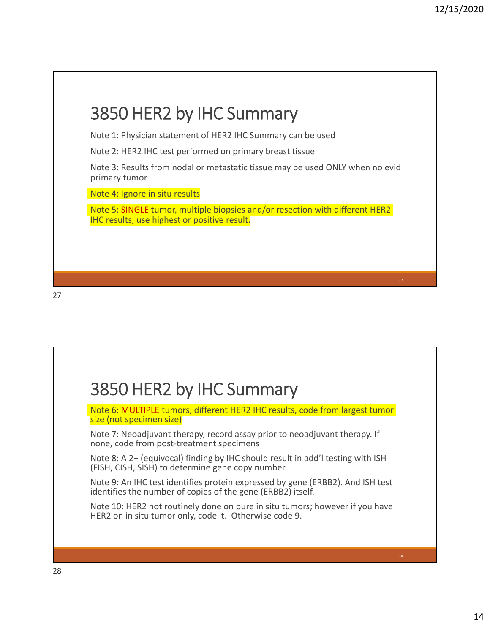| Note 2: HER2 IHC test performed on primary breast tissue                                                                            |  |
|-------------------------------------------------------------------------------------------------------------------------------------|--|
| Note 3: Results from nodal or metastatic tissue may be used ONLY when no evid<br>primary tumor                                      |  |
| Note 4: Ignore in situ results                                                                                                      |  |
| Note 5: SINGLE tumor, multiple biopsies and/or resection with different HER2<br><b>IHC results, use highest or positive result.</b> |  |

### 3850 HER2 by IHC Summary Note 6: MULTIPLE tumors, different HER2 IHC results, code from largest tumor size (not specimen size) Note 7: Neoadjuvant therapy, record assay prior to neoadjuvant therapy. If none, code from post‐treatment specimens Note 8: A 2+ (equivocal) finding by IHC should result in add'l testing with ISH (FISH, CISH, SISH) to determine gene copy number Note 9: An IHC test identifies protein expressed by gene (ERBB2). And ISH test identifies the number of copies of the gene (ERBB2) itself. Note 10: HER2 not routinely done on pure in situ tumors; however if you have HER2 on in situ tumor only, code it. Otherwise code 9.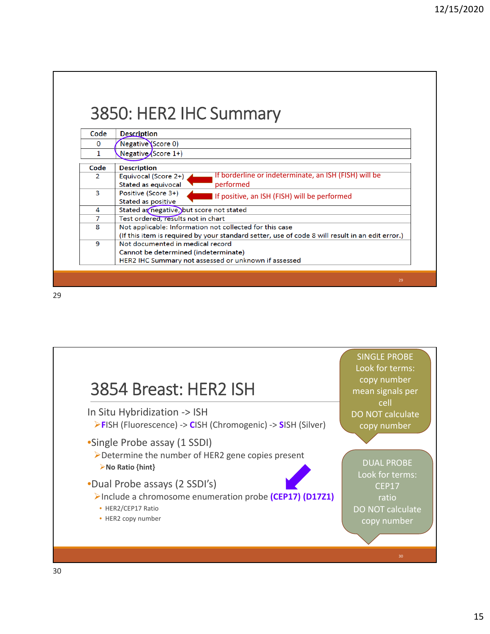| Code          |                                                                                                 |
|---------------|-------------------------------------------------------------------------------------------------|
|               | <b>Description</b>                                                                              |
| $\Omega$      | Negative Score 0)                                                                               |
| 1             | Negative $\sqrt{\text{Score}(1+)}$                                                              |
| Code          | <b>Description</b>                                                                              |
| $\mathcal{P}$ | If borderline or indeterminate, an ISH (FISH) will be<br>Equivocal (Score 2+)                   |
|               | Stated as equivocal<br>performed                                                                |
| 3             | Positive (Score 3+)<br>If positive, an ISH (FISH) will be performed                             |
|               | Stated as positive                                                                              |
| 4             | Stated as negative, but score not stated                                                        |
| 7             | Test ordered, results not in chart                                                              |
| 8             | Not applicable: Information not collected for this case                                         |
|               | (If this item is required by your standard setter, use of code 8 will result in an edit error.) |
| 9             | Not documented in medical record                                                                |
|               | Cannot be determined (indeterminate)                                                            |
|               | HER2 IHC Summary not assessed or unknown if assessed                                            |

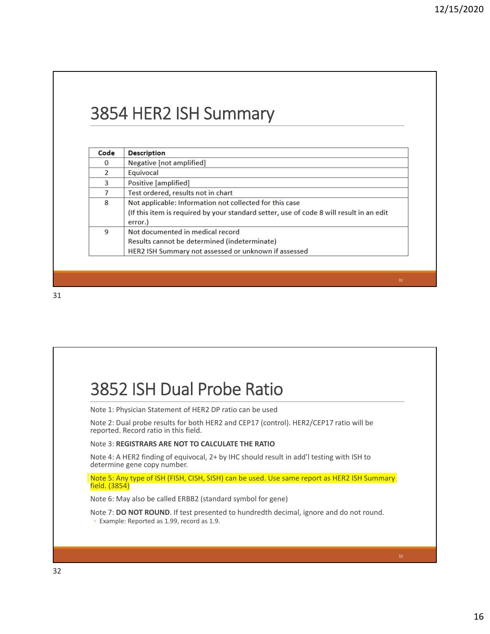### 3854 HER2 ISH Summary

| Code          | <b>Description</b>                                                                      |
|---------------|-----------------------------------------------------------------------------------------|
| 0             | Negative [not amplified]                                                                |
| $\mathcal{P}$ | Equivocal                                                                               |
| 3             | Positive [amplified]                                                                    |
|               | Test ordered, results not in chart                                                      |
| 8             | Not applicable: Information not collected for this case                                 |
|               | (If this item is required by your standard setter, use of code 8 will result in an edit |
|               | error.)                                                                                 |
| 9             | Not documented in medical record                                                        |
|               | Results cannot be determined (indeterminate)                                            |
|               | HER2 ISH Summary not assessed or unknown if assessed                                    |

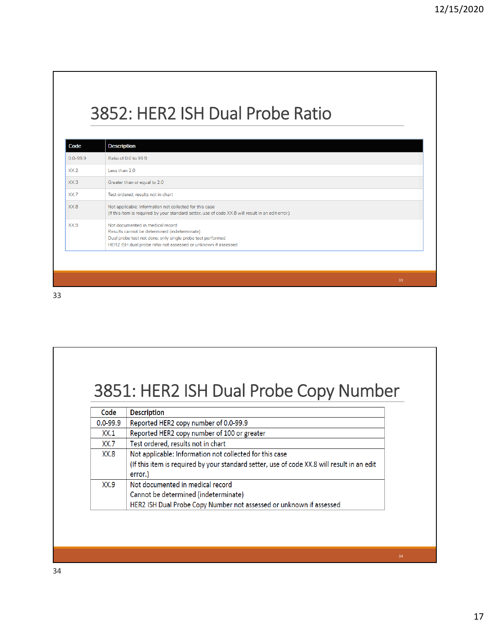### 3852: HER2 ISH Dual Probe Ratio

| Code         | <b>Description</b>                                                                                                                                                                                              |
|--------------|-----------------------------------------------------------------------------------------------------------------------------------------------------------------------------------------------------------------|
| $0.0 - 99.9$ | Ratio of 0.0 to 99.9                                                                                                                                                                                            |
| XX.2         | Less than 2.0                                                                                                                                                                                                   |
| XX.3         | Greater than or equal to 2.0                                                                                                                                                                                    |
| XX.7         | Test ordered, results not in chart                                                                                                                                                                              |
| XX.8         | Not applicable: Information not collected for this case<br>(If this item is required by your standard setter, use of code XX.8 will result in an edit error.)                                                   |
| XX.9         | Not documented in medical record<br>Results cannot be determined (indeterminate)<br>Dual probe test not done; only single probe test performed<br>HER2 ISH dual probe ratio not assessed or unknown if assessed |

33

### 3851: HER2 ISH Dual Probe Copy Number

| Code         | <b>Description</b>                                                                                                                                               |
|--------------|------------------------------------------------------------------------------------------------------------------------------------------------------------------|
| $0.0 - 99.9$ | Reported HER2 copy number of 0.0-99.9                                                                                                                            |
| XX.1         | Reported HER2 copy number of 100 or greater                                                                                                                      |
| XX.7         | Test ordered, results not in chart                                                                                                                               |
| XX.8         | Not applicable: Information not collected for this case<br>(If this item is required by your standard setter, use of code XX.8 will result in an edit<br>error.) |
| XX.9         | Not documented in medical record<br>Cannot be determined (indeterminate)<br>HER2 ISH Dual Probe Copy Number not assessed or unknown if assessed                  |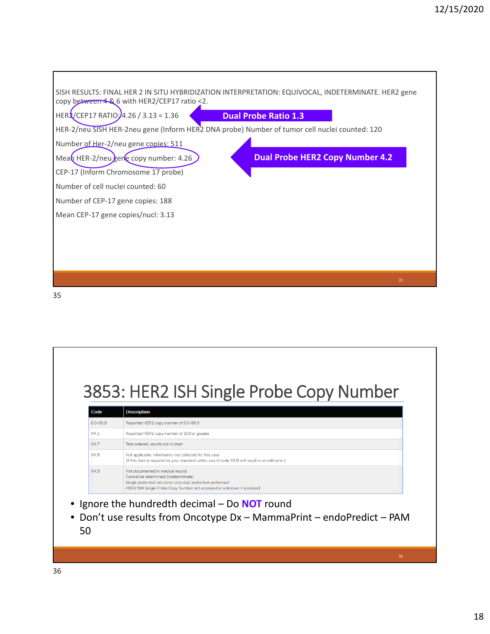

## 3853: HER2 ISH Single Probe Copy Number

| Code            | <b>Description</b>                                                                                                                                                                                              |
|-----------------|-----------------------------------------------------------------------------------------------------------------------------------------------------------------------------------------------------------------|
| $0.0 - 99.9$    | Reported HER2 copy number of 0.0-99.9                                                                                                                                                                           |
| XX <sub>1</sub> | Reported HER2 copy number of 100 or greater                                                                                                                                                                     |
| XX.7            | Test ordered, results not in chart                                                                                                                                                                              |
| XX.8            | Not applicable: Information not collected for this case<br>(If this item is required by your standard setter, use of code XX.8 will result in an edit error.)                                                   |
| XX9             | Not documented in medical record<br>Cannot be determined (indeterminate)<br>Single probe test not done; only dual probe test performed<br>HER2 ISH Single Probe Copy Number not assessed or unknown if assessed |

- Ignore the hundredth decimal Do **NOT** round
- Don't use results from Oncotype Dx MammaPrint endoPredict PAM 50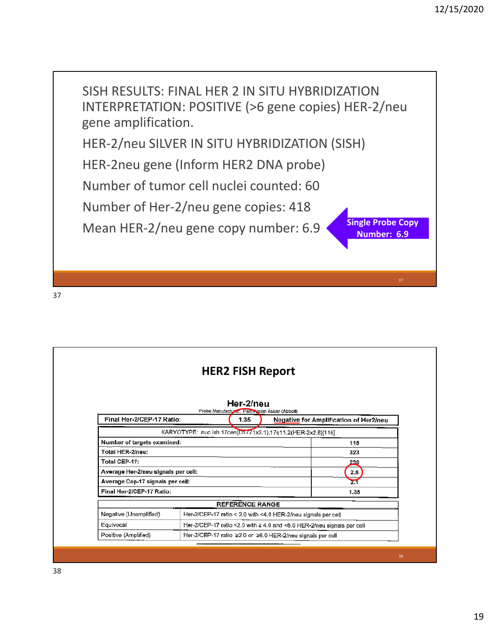

|                                     | <b>HER2 FISH Report</b>                                    |                                                                        |
|-------------------------------------|------------------------------------------------------------|------------------------------------------------------------------------|
|                                     |                                                            |                                                                        |
|                                     | Her-2/neu<br>Probe Manufacturer: Pathyssion Assay (Abbott) |                                                                        |
| Final Her-2/CEP-17 Ratio:           | 1.35                                                       | Negative for Amplification of Her2/neu                                 |
|                                     |                                                            | KARYOTYPE: nuc ish 17cen(D17Z1x2.1),17q11.2(HER-2x2.8)[115]            |
| Number of targets examined:         |                                                            | 115                                                                    |
| Total HER-2/neu:                    |                                                            | 323                                                                    |
| Total CEP-17:                       |                                                            | 239                                                                    |
| Average Her-2/neu signals per cell: |                                                            | 2.8                                                                    |
| Average Cep-17 signals per cell:    |                                                            | 2.1                                                                    |
| Final Her-2/CEP-17 Ratio:           |                                                            | 1.35                                                                   |
|                                     | <b>REFERENCE RANGE</b>                                     |                                                                        |
| Negative (Unamplified)              |                                                            | Her-2/CEP-17 ratio < 2.0 with <4.0 HER-2/neu signals per cell          |
| Equivocal                           |                                                            | Her-2/CEP-17 ratio <2.0 with ≥ 4.0 and <6.0 HER-2/neu signals per cell |
| Positive (Amplified)                |                                                            | Her-2/CEP-17 ratio ≥2.0 or ≥6.0 HER-2/neu signals per cell             |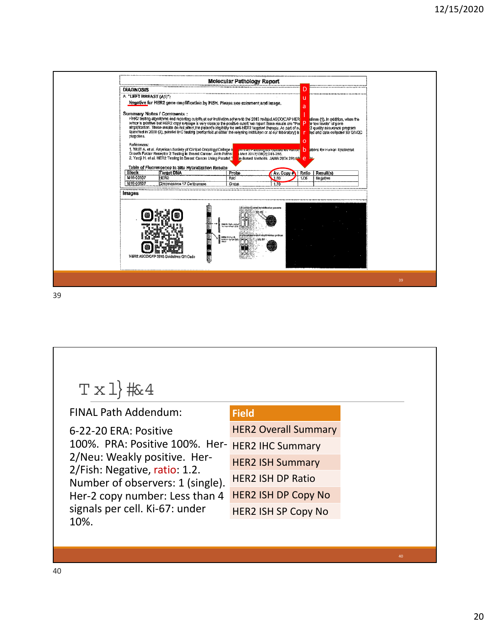| ш<br>Negative for HER2 gene amplification by FISH. Please ace comment and image.<br>a<br>HER2 testing algorithms and reporting cutoffs at our institution adhere to the 2013 revised ASCOICAP HER<br>Iumor is positive but HER2 copy average is very close to the positive cutoff, we report these results are "Por<br>elines (1), In addition, when the<br>or low lavels" of gene<br>amplification. These results do not affect the patient's eligibility for anti-HER2 targeted merapy. As part of ou<br>2 quality assurance program<br>faunched in 2008 (2), parallel IHC testing (performed at either the referring institution or at our taboratory) is<br>led and data collected for QA/QC<br>purposes.<br>$\Omega$<br>References:<br>1. Wölff A, et al. American Society of Clinical Oncology/College of<br>Growth Factor Receptor 2 Testing in Breast Cancer. Arch Pathol<br>ations for Human Epidemal<br>h<br><b>TRIPER C BILINGRAM ORIGINAL INCLARE</b><br>Med 2013;138(2);241-256.<br>2. Yaziji H. et al. HER2 Testing in Breast Cancer Using Parallel T<br>le-Based Methods, JAMA 2004 291:10 0<br><b>DAL</b><br>Table of Fluorescence In Situ Hybridization Results<br>Block<br><b>Target DNA</b><br><b>Probe</b><br>Ratio<br>Result(s)<br>Av. Copy #<br>M18-00107<br>HER <sub>2</sub><br>Red<br>1.80<br>1.06<br>Negative<br>M18-00107<br>Chromosome 17 Centromere.<br>Green<br>1.70<br>something molestics parameter<br>CSHih Tipli, (q)<br>wa 60'asa ngilabilika na mana<br>M<br>NAMA (Squid 42)<br>Soomaa Googae<br>Tham<br>HERZ ASCO/CAP 2013 Guidelines OR Code<br>E |                  |  | Molecular Pathology Report |  |  |  |
|----------------------------------------------------------------------------------------------------------------------------------------------------------------------------------------------------------------------------------------------------------------------------------------------------------------------------------------------------------------------------------------------------------------------------------------------------------------------------------------------------------------------------------------------------------------------------------------------------------------------------------------------------------------------------------------------------------------------------------------------------------------------------------------------------------------------------------------------------------------------------------------------------------------------------------------------------------------------------------------------------------------------------------------------------------------------------------------------------------------------------------------------------------------------------------------------------------------------------------------------------------------------------------------------------------------------------------------------------------------------------------------------------------------------------------------------------------------------------------------------------------------------------------------------------------------------------------------|------------------|--|----------------------------|--|--|--|
| A. "LEFT BREAST (A1)":<br>Summary Notes / Comments:<br>Images                                                                                                                                                                                                                                                                                                                                                                                                                                                                                                                                                                                                                                                                                                                                                                                                                                                                                                                                                                                                                                                                                                                                                                                                                                                                                                                                                                                                                                                                                                                          | <b>DIAGNOSIS</b> |  |                            |  |  |  |
|                                                                                                                                                                                                                                                                                                                                                                                                                                                                                                                                                                                                                                                                                                                                                                                                                                                                                                                                                                                                                                                                                                                                                                                                                                                                                                                                                                                                                                                                                                                                                                                        |                  |  |                            |  |  |  |
|                                                                                                                                                                                                                                                                                                                                                                                                                                                                                                                                                                                                                                                                                                                                                                                                                                                                                                                                                                                                                                                                                                                                                                                                                                                                                                                                                                                                                                                                                                                                                                                        |                  |  |                            |  |  |  |
|                                                                                                                                                                                                                                                                                                                                                                                                                                                                                                                                                                                                                                                                                                                                                                                                                                                                                                                                                                                                                                                                                                                                                                                                                                                                                                                                                                                                                                                                                                                                                                                        |                  |  |                            |  |  |  |
|                                                                                                                                                                                                                                                                                                                                                                                                                                                                                                                                                                                                                                                                                                                                                                                                                                                                                                                                                                                                                                                                                                                                                                                                                                                                                                                                                                                                                                                                                                                                                                                        |                  |  |                            |  |  |  |
|                                                                                                                                                                                                                                                                                                                                                                                                                                                                                                                                                                                                                                                                                                                                                                                                                                                                                                                                                                                                                                                                                                                                                                                                                                                                                                                                                                                                                                                                                                                                                                                        |                  |  |                            |  |  |  |
|                                                                                                                                                                                                                                                                                                                                                                                                                                                                                                                                                                                                                                                                                                                                                                                                                                                                                                                                                                                                                                                                                                                                                                                                                                                                                                                                                                                                                                                                                                                                                                                        |                  |  |                            |  |  |  |
|                                                                                                                                                                                                                                                                                                                                                                                                                                                                                                                                                                                                                                                                                                                                                                                                                                                                                                                                                                                                                                                                                                                                                                                                                                                                                                                                                                                                                                                                                                                                                                                        |                  |  |                            |  |  |  |

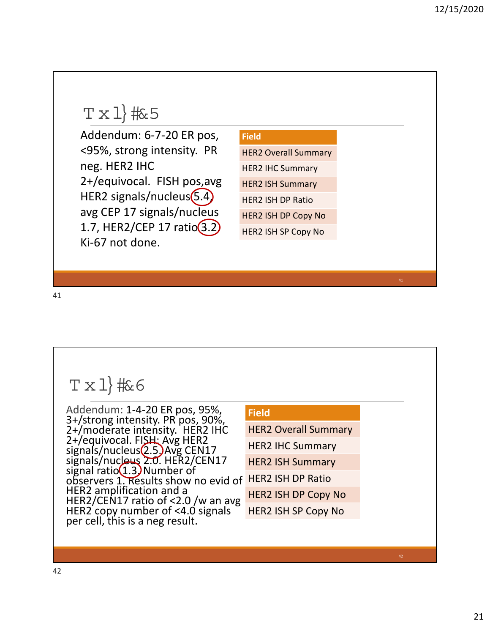### $T \times 1$  #  $5$

Addendum: 6‐7‐20 ER pos, <95%, strong intensity. PR neg. HER2 IHC 2+/equivocal. FISH pos,avg HER2 signals/nucleus $(5.4)$ avg CEP 17 signals/nucleus 1.7, HER2/CEP 17  $ratio(3.2)$ Ki‐67 not done.

#### **Field**

HER2 Overall Summary HER2 IHC Summary HER2 ISH Summary HER2 ISH DP Ratio HER2 ISH DP Copy No

HER2 ISH SP Copy No

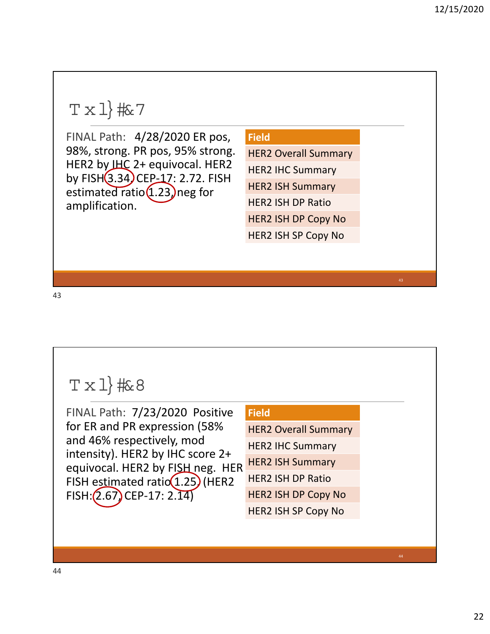### $T \times 1$  #  $7$

FINAL Path: 4/28/2020 ER pos, 98%, strong. PR pos, 95% strong. HER2 by IHC 2+ equivocal. HER2 by FISH (3.34) CEP-17: 2.72. FISH estimated ratio $(1.23)$  neg for amplification.

#### **Field**

HER2 Overall Summary

HER2 IHC Summary

HER2 ISH Summary

HER2 ISH DP Ratio

HER2 ISH DP Copy No

HER2 ISH SP Copy No

43

#### $T \times 1$  #68 FINAL Path: 7/23/2020 Positive for ER and PR expression (58% and 46% respectively, mod intensity). HER2 by IHC score 2+ equivocal. HER2 by FISH neg. HER FISH estimated ratio $(1.25)$  (HER2 FISH: (2.67) CEP-17: 2.14) **Field** HER2 Overall Summary HER2 IHC Summary HER2 ISH Summary HER2 ISH DP Ratio HER2 ISH DP Copy No HER2 ISH SP Copy No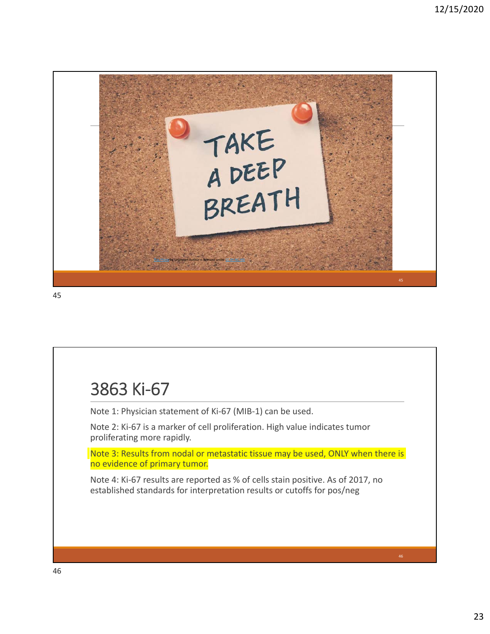

### 3863 Ki‐67

Note 1: Physician statement of Ki‐67 (MIB‐1) can be used.

Note 2: Ki‐67 is a marker of cell proliferation. High value indicates tumor proliferating more rapidly.

Note 3: Results from nodal or metastatic tissue may be used, ONLY when there is no evidence of primary tumor.

Note 4: Ki‐67 results are reported as % of cells stain positive. As of 2017, no established standards for interpretation results or cutoffs for pos/neg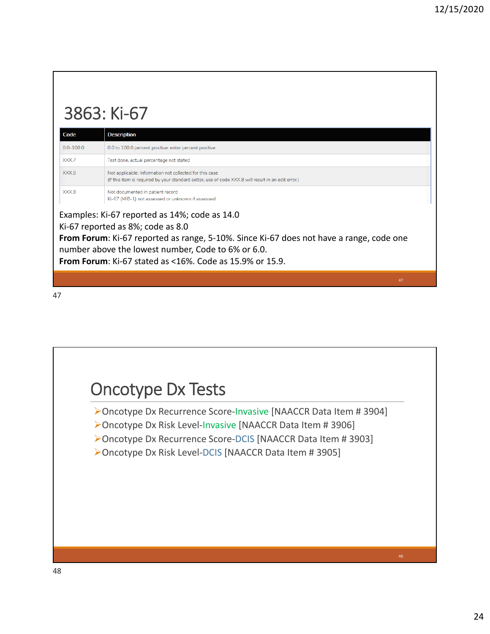### 3863: Ki‐67

| Code          | <b>Description</b>                                                                                                                                             |
|---------------|----------------------------------------------------------------------------------------------------------------------------------------------------------------|
| $0.0 - 100.0$ | 0.0 to 100.0 percent positive: enter percent positive                                                                                                          |
| XXX.7         | Test done, actual percentage not stated                                                                                                                        |
| XXX.8         | Not applicable: Information not collected for this case<br>(If this item is required by your standard setter, use of code XXX.8 will result in an edit error.) |
| XXX.9         | Not documented in patient record<br>Ki-67 (MIB-1) not assessed or unknown if assessed                                                                          |

Examples: Ki‐67 reported as 14%; code as 14.0

Ki‐67 reported as 8%; code as 8.0

**From Forum**: Ki‐67 reported as range, 5‐10%. Since Ki‐67 does not have a range, code one number above the lowest number, Code to 6% or 6.0.

**From Forum**: Ki‐67 stated as <16%. Code as 15.9% or 15.9.

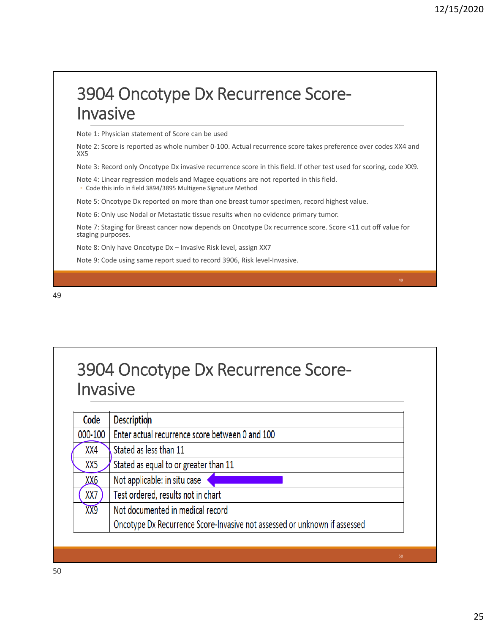### 3904 Oncotype Dx Recurrence Score‐ Invasive

Note 1: Physician statement of Score can be used

Note 2: Score is reported as whole number 0‐100. Actual recurrence score takes preference over codes XX4 and XX5

Note 3: Record only Oncotype Dx invasive recurrence score in this field. If other test used for scoring, code XX9.

Note 4: Linear regression models and Magee equations are not reported in this field. ◦ Code this info in field 3894/3895 Multigene Signature Method

Note 5: Oncotype Dx reported on more than one breast tumor specimen, record highest value.

Note 6: Only use Nodal or Metastatic tissue results when no evidence primary tumor.

Note 7: Staging for Breast cancer now depends on Oncotype Dx recurrence score. Score <11 cut off value for staging purposes.

Note 8: Only have Oncotype Dx – Invasive Risk level, assign XX7

Note 9: Code using same report sued to record 3906, Risk level‐Invasive.

### 3904 Oncotype Dx Recurrence Score‐ Invasive

| Code       | <b>Description</b>                                                        |
|------------|---------------------------------------------------------------------------|
| 000-100    | Enter actual recurrence score between 0 and 100                           |
| XX4        | Stated as less than 11                                                    |
| XX5        | Stated as equal to or greater than 11                                     |
| <u>XX6</u> | Not applicable: in situ case                                              |
| XX7        | Test ordered, results not in chart                                        |
| XX9        | Not documented in medical record                                          |
|            | Oncotype Dx Recurrence Score-Invasive not assessed or unknown if assessed |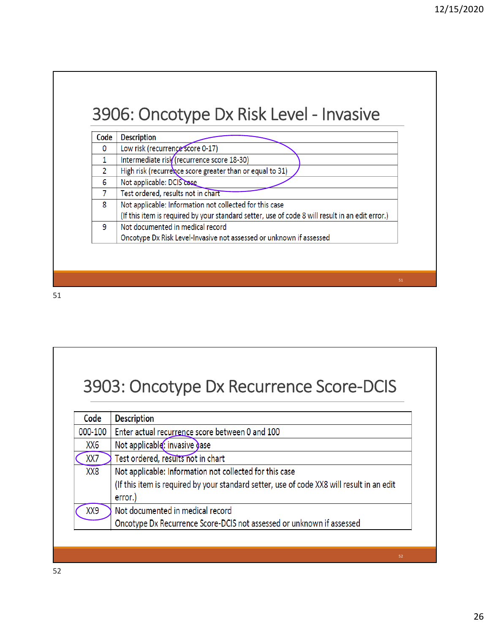### 3906: Oncotype Dx Risk Level ‐ Invasive

| Code | <b>Description</b>                                                                              |
|------|-------------------------------------------------------------------------------------------------|
| 0    | Low risk (recurrence score 0-17)                                                                |
|      | Intermediate risk (recurrence score 18-30)                                                      |
| 2    | High risk (recurrence score greater than or equal to 31)                                        |
| 6    | Not applicable: DCIS case                                                                       |
|      | Test ordered, results not in chart                                                              |
| 8    | Not applicable: Information not collected for this case                                         |
|      | (If this item is required by your standard setter, use of code 8 will result in an edit error.) |
| 9    | Not documented in medical record                                                                |
|      | Oncotype Dx Risk Level-Invasive not assessed or unknown if assessed                             |

51

### 3903: Oncotype Dx Recurrence Score‐DCIS

| Code    | <b>Description</b>                                                                        |
|---------|-------------------------------------------------------------------------------------------|
| 000-100 | Enter actual recurrence score between 0 and 100                                           |
| XX6     | Not applicable: invasive gase                                                             |
| XX7     | Test ordered, results not in chart                                                        |
| XX8     | Not applicable: Information not collected for this case                                   |
|         | (If this item is required by your standard setter, use of code XX8 will result in an edit |
|         | error.)                                                                                   |
| XX9     | Not documented in medical record                                                          |
|         | Oncotype Dx Recurrence Score-DCIS not assessed or unknown if assessed                     |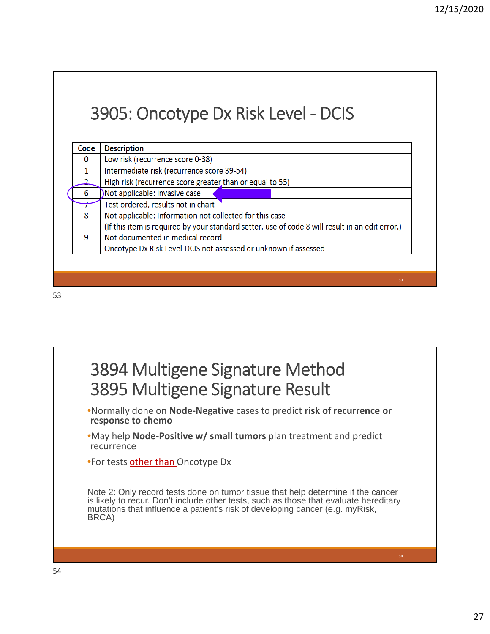### 3905: Oncotype Dx Risk Level ‐ DCIS

| Code | <b>Description</b>                                                                              |
|------|-------------------------------------------------------------------------------------------------|
| 0    | Low risk (recurrence score 0-38)                                                                |
| 1    | Intermediate risk (recurrence score 39-54)                                                      |
|      | High risk (recurrence score greater than or equal to 55)                                        |
| 6    | Not applicable: invasive case                                                                   |
|      | Test ordered, results not in chart                                                              |
| 8    | Not applicable: Information not collected for this case                                         |
|      | (If this item is required by your standard setter, use of code 8 will result in an edit error.) |
| 9    | Not documented in medical record                                                                |
|      | Oncotype Dx Risk Level-DCIS not assessed or unknown if assessed                                 |

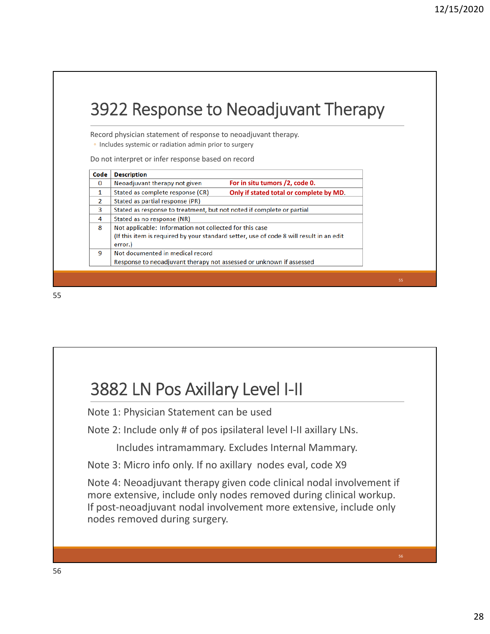|                          | 3922 Response to Neoadjuvant Therapy                                                                                      |  |
|--------------------------|---------------------------------------------------------------------------------------------------------------------------|--|
|                          | Record physician statement of response to neoadjuvant therapy.<br>• Includes systemic or radiation admin prior to surgery |  |
| Code                     | Do not interpret or infer response based on record<br><b>Description</b>                                                  |  |
| $\Omega$                 | For in situ tumors /2, code 0.<br>Neoadjuvant therapy not given                                                           |  |
| 1                        | Stated as complete response (CR)<br>Only if stated total or complete by MD.                                               |  |
| $\overline{\phantom{a}}$ | Stated as partial response (PR)                                                                                           |  |
| 3                        | Stated as response to treatment, but not noted if complete or partial                                                     |  |
| 4                        | Stated as no response (NR)                                                                                                |  |
| 8                        | Not applicable: Information not collected for this case                                                                   |  |
|                          | (If this item is required by your standard setter, use of code 8 will result in an edit)                                  |  |
|                          | error.)                                                                                                                   |  |
| 9                        | Not documented in medical record<br>Response to neoadjuvant therapy not assessed or unknown if assessed                   |  |
|                          |                                                                                                                           |  |

### 3882 LN Pos Axillary Level I‐II

Note 1: Physician Statement can be used

Note 2: Include only # of pos ipsilateral level I‐II axillary LNs.

Includes intramammary. Excludes Internal Mammary.

Note 3: Micro info only. If no axillary nodes eval, code X9

Note 4: Neoadjuvant therapy given code clinical nodal involvement if more extensive, include only nodes removed during clinical workup. If post-neoadjuvant nodal involvement more extensive, include only nodes removed during surgery.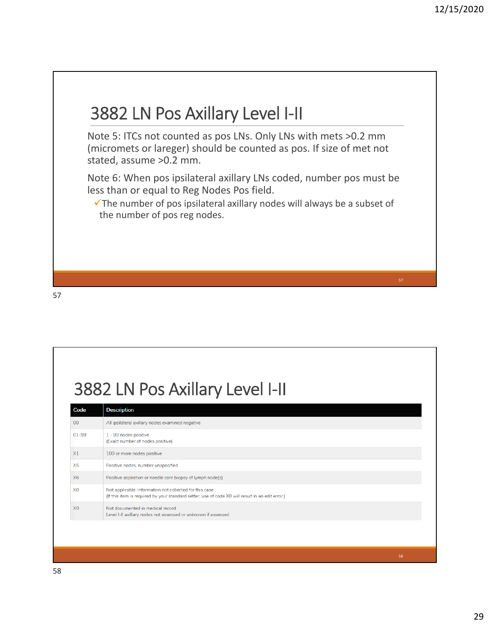

### 3882 LN Pos Axillary Level I‐II

| Code           | <b>Description</b>                                                                                                                                          |
|----------------|-------------------------------------------------------------------------------------------------------------------------------------------------------------|
| 00             | All ipsilateral axillary nodes examined negative                                                                                                            |
| $01 - 99$      | 1 - 99 nodes positive<br>(Exact number of nodes positive)                                                                                                   |
| X1             | 100 or more nodes positive                                                                                                                                  |
| X <sub>5</sub> | Positive nodes, number unspecified                                                                                                                          |
| X6             | Positive aspiration or needle core biopsy of lymph node(s)                                                                                                  |
| X <sub>8</sub> | Not applicable: Information not collected for this case<br>(If this item is required by your standard setter, use of code X8 will result in an edit error.) |
| X <sub>9</sub> | Not documented in medical record<br>Level I-II axillary nodes not assessed or unknown if assessed                                                           |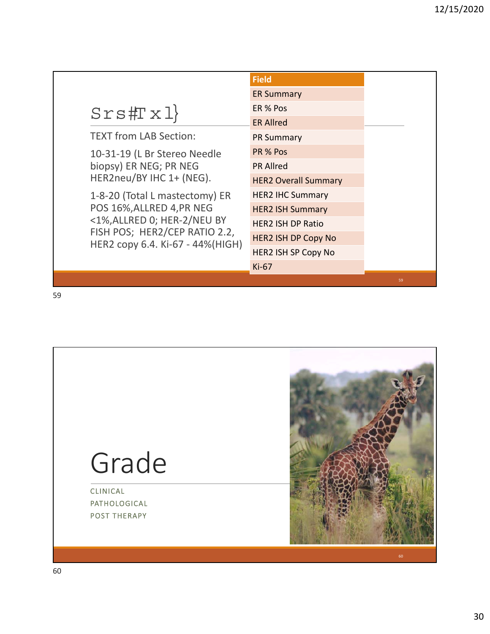|                                                                                                                                                                 | <b>Field</b>                |
|-----------------------------------------------------------------------------------------------------------------------------------------------------------------|-----------------------------|
|                                                                                                                                                                 | <b>ER Summary</b>           |
| Srs#Tx1                                                                                                                                                         | ER % Pos                    |
|                                                                                                                                                                 | <b>ER Allred</b>            |
| <b>TEXT from LAB Section:</b>                                                                                                                                   | <b>PR Summary</b>           |
| 10-31-19 (L Br Stereo Needle<br>biopsy) ER NEG; PR NEG<br>HER2neu/BY IHC 1+ (NEG).                                                                              | PR % Pos                    |
|                                                                                                                                                                 | <b>PR Allred</b>            |
|                                                                                                                                                                 | <b>HER2 Overall Summary</b> |
| 1-8-20 (Total L mastectomy) ER<br>POS 16%, ALLRED 4, PR NEG<br><1%, ALLRED 0; HER-2/NEU BY<br>FISH POS; HER2/CEP RATIO 2.2,<br>HER2 copy 6.4. Ki-67 - 44%(HIGH) | <b>HER2 IHC Summary</b>     |
|                                                                                                                                                                 | <b>HER2 ISH Summary</b>     |
|                                                                                                                                                                 | <b>HER2 ISH DP Ratio</b>    |
|                                                                                                                                                                 | <b>HER2 ISH DP Copy No</b>  |
|                                                                                                                                                                 | <b>HER2 ISH SP Copy No</b>  |
|                                                                                                                                                                 | $Ki-67$                     |
|                                                                                                                                                                 |                             |

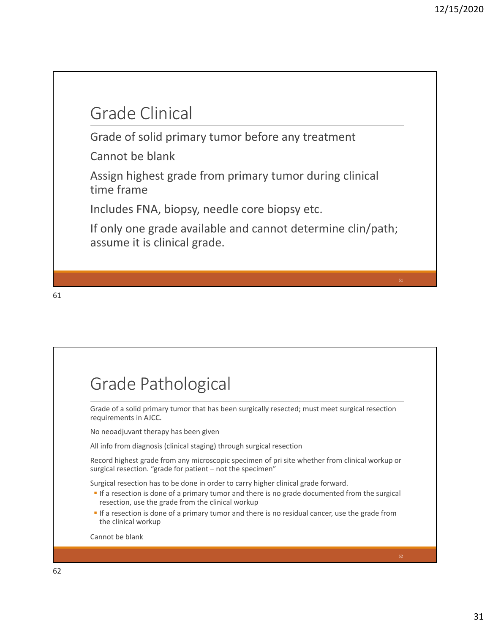### Grade Clinical

Grade of solid primary tumor before any treatment

Cannot be blank

Assign highest grade from primary tumor during clinical time frame

Includes FNA, biopsy, needle core biopsy etc.

If only one grade available and cannot determine clin/path; assume it is clinical grade.

61

### Grade Pathological

Grade of a solid primary tumor that has been surgically resected; must meet surgical resection requirements in AJCC.

No neoadjuvant therapy has been given

All info from diagnosis (clinical staging) through surgical resection

Record highest grade from any microscopic specimen of pri site whether from clinical workup or surgical resection. "grade for patient – not the specimen"

Surgical resection has to be done in order to carry higher clinical grade forward.

- **If a resection is done of a primary tumor and there is no grade documented from the surgical** resection, use the grade from the clinical workup
- If a resection is done of a primary tumor and there is no residual cancer, use the grade from the clinical workup

Cannot be blank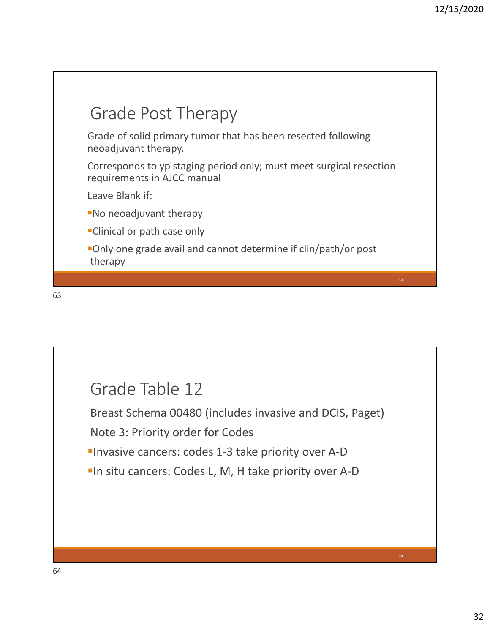

### Grade Table 12

Breast Schema 00480 (includes invasive and DCIS, Paget)

Note 3: Priority order for Codes

■Invasive cancers: codes 1-3 take priority over A-D

■In situ cancers: Codes L, M, H take priority over A-D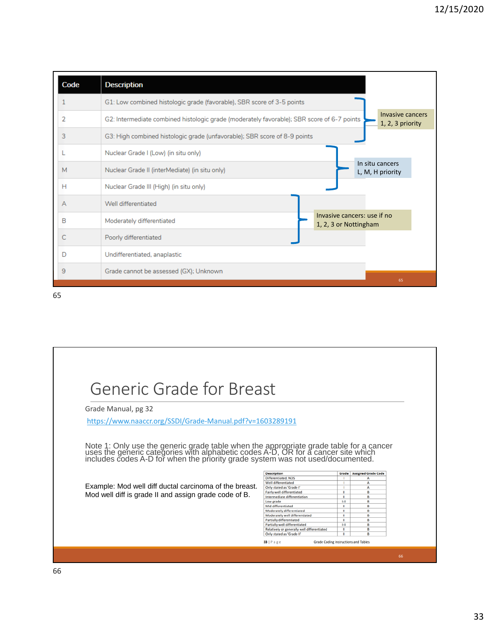| Code | <b>Description</b>                                                                                                                 |  |
|------|------------------------------------------------------------------------------------------------------------------------------------|--|
|      | G1: Low combined histologic grade (favorable), SBR score of 3-5 points                                                             |  |
| 2    | Invasive cancers<br>G2: Intermediate combined histologic grade (moderately favorable); SBR score of 6-7 points<br>1, 2, 3 priority |  |
| 3    | G3: High combined histologic grade (unfavorable); SBR score of 8-9 points                                                          |  |
|      | Nuclear Grade I (Low) (in situ only)                                                                                               |  |
| M    | In situ cancers<br>Nuclear Grade II (interMediate) (in situ only)<br>L, M, H priority                                              |  |
| н    | Nuclear Grade III (High) (in situ only)                                                                                            |  |
| А    | Well differentiated                                                                                                                |  |
| в    | Invasive cancers: use if no<br>Moderately differentiated<br>1, 2, 3 or Nottingham                                                  |  |
| C    | Poorly differentiated                                                                                                              |  |
| D    | Undifferentiated, anaplastic                                                                                                       |  |
| 9    | Grade cannot be assessed (GX); Unknown<br>65                                                                                       |  |

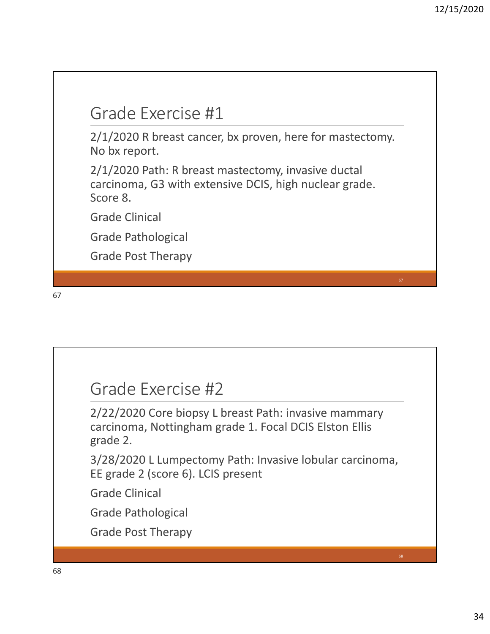### Grade Exercise #1

2/1/2020 R breast cancer, bx proven, here for mastectomy. No bx report.

2/1/2020 Path: R breast mastectomy, invasive ductal carcinoma, G3 with extensive DCIS, high nuclear grade. Score 8.

Grade Clinical

Grade Pathological

Grade Post Therapy

67

### Grade Exercise #2

2/22/2020 Core biopsy L breast Path: invasive mammary carcinoma, Nottingham grade 1. Focal DCIS Elston Ellis grade 2.

3/28/2020 L Lumpectomy Path: Invasive lobular carcinoma, EE grade 2 (score 6). LCIS present

Grade Clinical

Grade Pathological

Grade Post Therapy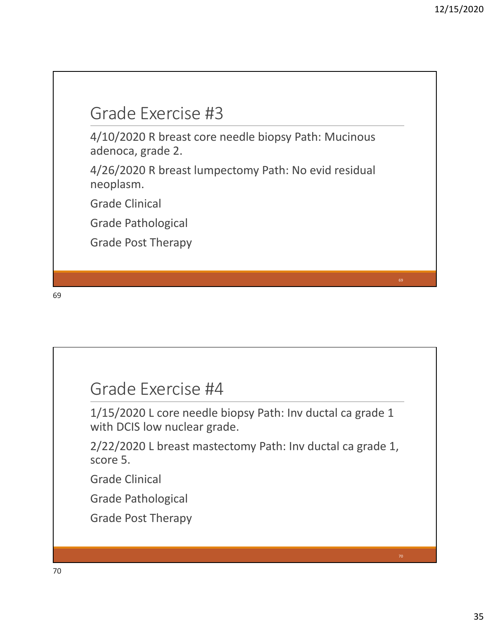### Grade Exercise #3

4/10/2020 R breast core needle biopsy Path: Mucinous adenoca, grade 2.

4/26/2020 R breast lumpectomy Path: No evid residual neoplasm.

Grade Clinical

Grade Pathological

Grade Post Therapy

69

### Grade Exercise #4

1/15/2020 L core needle biopsy Path: Inv ductal ca grade 1 with DCIS low nuclear grade.

2/22/2020 L breast mastectomy Path: Inv ductal ca grade 1, score 5.

Grade Clinical

Grade Pathological

Grade Post Therapy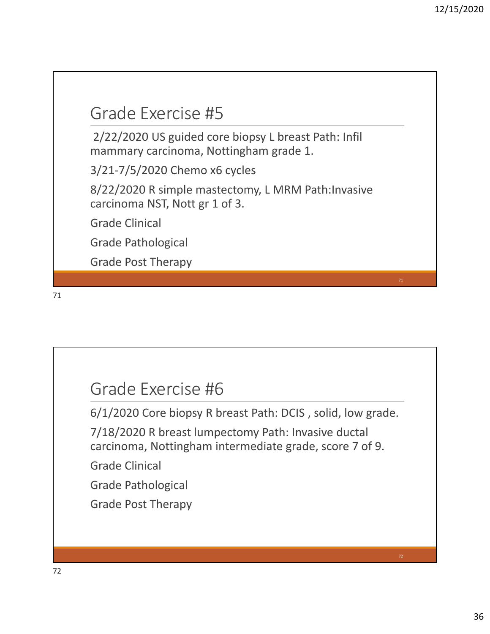### Grade Exercise #5

2/22/2020 US guided core biopsy L breast Path: Infil mammary carcinoma, Nottingham grade 1.

3/21‐7/5/2020 Chemo x6 cycles

8/22/2020 R simple mastectomy, L MRM Path:Invasive carcinoma NST, Nott gr 1 of 3.

Grade Clinical

Grade Pathological

Grade Post Therapy

71

### Grade Exercise #6

6/1/2020 Core biopsy R breast Path: DCIS , solid, low grade.

7/18/2020 R breast lumpectomy Path: Invasive ductal carcinoma, Nottingham intermediate grade, score 7 of 9.

Grade Clinical

Grade Pathological

Grade Post Therapy